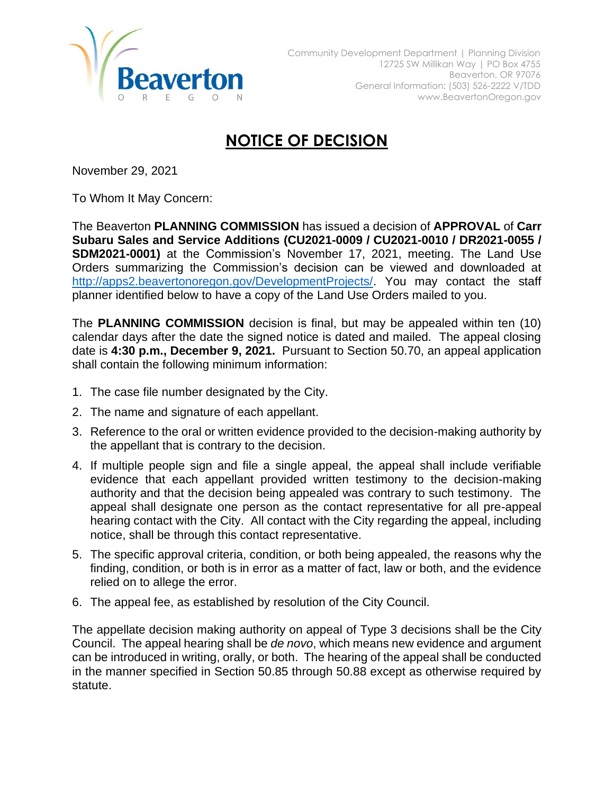

## **NOTICE OF DECISION**

November 29, 2021

To Whom It May Concern:

The Beaverton **PLANNING COMMISSION** has issued a decision of **APPROVAL** of **Carr Subaru Sales and Service Additions (CU2021-0009 / CU2021-0010 / DR2021-0055 / SDM2021-0001)** at the Commission's November 17, 2021, meeting. The Land Use Orders summarizing the Commission's decision can be viewed and downloaded at [http://apps2.beavertonoregon.gov/DevelopmentProjects/.](http://apps2.beavertonoregon.gov/DevelopmentProjects/) You may contact the staff planner identified below to have a copy of the Land Use Orders mailed to you.

The **PLANNING COMMISSION** decision is final, but may be appealed within ten (10) calendar days after the date the signed notice is dated and mailed. The appeal closing date is **4:30 p.m., December 9, 2021.** Pursuant to Section 50.70, an appeal application shall contain the following minimum information:

- 1. The case file number designated by the City.
- 2. The name and signature of each appellant.
- 3. Reference to the oral or written evidence provided to the decision-making authority by the appellant that is contrary to the decision.
- 4. If multiple people sign and file a single appeal, the appeal shall include verifiable evidence that each appellant provided written testimony to the decision-making authority and that the decision being appealed was contrary to such testimony. The appeal shall designate one person as the contact representative for all pre-appeal hearing contact with the City. All contact with the City regarding the appeal, including notice, shall be through this contact representative.
- 5. The specific approval criteria, condition, or both being appealed, the reasons why the finding, condition, or both is in error as a matter of fact, law or both, and the evidence relied on to allege the error.
- 6. The appeal fee, as established by resolution of the City Council.

The appellate decision making authority on appeal of Type 3 decisions shall be the City Council. The appeal hearing shall be *de novo*, which means new evidence and argument can be introduced in writing, orally, or both. The hearing of the appeal shall be conducted in the manner specified in Section 50.85 through 50.88 except as otherwise required by statute.